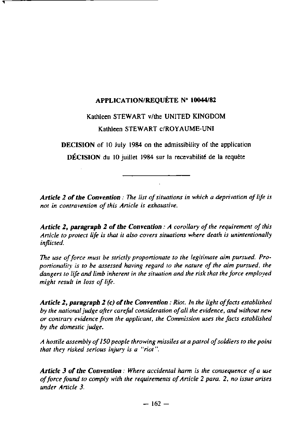# APPLICATION/REQUÉTE **N° 10044/82**

# Kathleen STEWART v/the UNITED KINGDOM **Kathleen STEWART** c/ROYAUME-UN I

DECISION of 10 July 1984 on the admissibility of the application

DÉCISION du 10 juillet 1984 sur la recevabilité de la requête

**A**rt**icle 2 of the Convention** : <sup>7</sup>7te list of**situations in which a deprivation** of life is **not in contravention** of this Anicle **is eshaustive.**

*Article 2, paragraph 2 of the Convention : A corollary of the requirement of this Article to protect life* is *that it also covers situations where death* **is** *unintentionally inflicted.*

The use of force must be strictly proportionate to the legitimate aim pursued. Pro*portionalirv is to be assessed having regard to the nature of the aim pursued, the dangers to life and limb inherent in the situation and the risk that the force employed might result in loss of life .*

*Article 2, paragraph 2 (c)* **of the** *Convention : Riot. In the light offacts established by the national judge after careful consideration ofall the evidence, and* without new *or contrarv evidence from the applicant, the Commission uses the facts established by the domestic judge .*

A hostile assembly of 150 people **throwing missiles at** a patrol ofsoldiers to the point that they risked serious injury is a"riot ".

Article 3 **of** the **Convention** : Where accidental **harm is the** consequence of a use of force found to comply **with the requirements** of Article 2 para . 2, **no issue arises** under Article 3.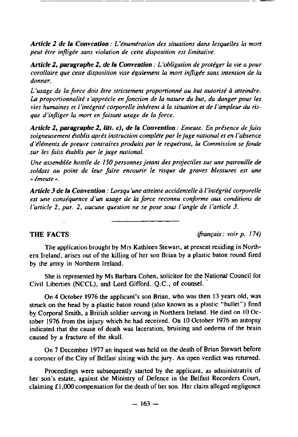Article 2 de la Convention : L'énumération des situations dans lesquelles la mort peut être infligée sans violation de cette disposition est limitative.

Article 2, paragraphe 2, de la Convention : L'obligation de protéger la vie a pour corollaire que cene disposition vise également la mort infligée sans intention de la donner.

L'usage de la force doit être strictement proportionné au but autorisé à atteindre. La proporiionnalité s'apprécie en fonction de la nature du but, du danger pour les vies humaines et l'intégrité corporelle inhérent à la situation et de l'ampleur du risque d'infliger la mort en faisanr usage de la force.

Article 2, paragraphe 2, litt. c), de la Convention : Emeute. En présence de faits soigneusement établis aprés instruction complète par le juge national et en l'absence d'éléments de preuve contraires produits par le requérant, la Commission se fonde sur les faits établis par le juge national.

Une assemblée hostile de 150 personnes jetant des projectiles sur une patrouille de soldats au point de leur faire encourir le risque de graves blessures est une . émeute . .

Article 3 de la Convention : Lorsqu'une atteinte accidentelle à l'intégrité corporelle est une conséquence d'un usage de la force reconnu conforme aux conditions de l'article 2, par. 2, aucune question ne se pose sous l'angle de l'article 3.

THE FACTS *((rançais : voir p. 174)*

The application brought by Mrs Kathleen Stewart, at present residing in Northern ireland, arises out of the killing of her son Brian by a plastic baton round fired by the army in Northern Ireland.

She is represented by Ms Barbara Cohen, solicitor for the National Council for Civil Liberties (NCCL), and Lord Gifford, Q .C., of counsel

On 4 October 1976 the applicant's son Brian, who was then 13 years old, was struck on the head by a plastic baton round (also known as a plastic "bullet") fired by Corporal Smith, a British soldier serving in Northern Ireland . He died on 10 October 1976 from the injury which he had received. On 10 October 1976 an autopsy indicated that the cause of death was laceration, bruising and oedema of the brain caused by a fracture of the skull.

On 7 December 1977 an inquest was held on the death of Brian Stewart before a coroner of the City of Belfast sitting with the  $\mu$ <sub>IV</sub>. An open verdict was returned.

Proceedings were subsequently started by the applicant, as administratrix of her son's estate, against the Ministry of Defence in the Belfast Recorders Court, claiming  $f1,000$  compensation for the death of her son. Her claim alleged negligence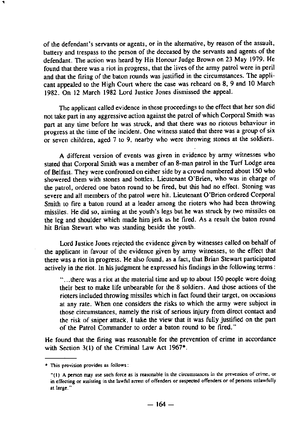of the defendant's servants or agents, or in the alternative, by reason of the assault, battery and trespass to the person of the deceased by the servants and agents of the defendant. The action was heard by His Honour Judge Brown on 23 May 1979. He found that there was a riot in progress, that the lives of the army patrol were in peril and that the firing of the baton rounds was justified in the circumstances. The applicant appealed to the High Court where the case was reheard on 8, 9 and 10 March 1982 . On 12 March 1982 Lord Justice ]ones dismissed the appeal .

The applicant called evidence in these proceedings to the effect that her son did not take part in any aggressive action against the patrol of which Corporal Smith was part at any time before he was struck, and that there was no riotous behaviour in progress at the time of the incident. One witness stated that there was a group of six or seven children, aged 7 to 9, nearby who were throwing stones at the soldiers .

A different version of events was given in evidence by army witnesses who stated that Corporal Smith was a member of an 8-man patrol in the Turf Lodge area of Belfast. They were confronted on either side by a crowd numbered about 150 who showered them with stones and bottles. Lieutenant O'Brien, who was in charge of the patrol, ordered one baton round to be fired, but this had no effect . Stoning was severe and all members of the patrol were hit. Lieutenant O'Brien ordered Corporal Smith to fire a baton round at a leader among the rioters who had been throwing missiles. He did so, aiming at the youth's legs but he was stmck by two missiles on the leg and shoulder which made him jerk as he fired. As a result the baton round hit Brian Stewart who was standing beside the youth .

Lord Justice Jones rejected the evidence given by witnesses called on behalf of the applicant in favour of the evidence given by army witnesses, to the effect that there was a riot in progress . He also found, as a fact, that Brian Stewart participated actively in the riot. In his judgment he expressed his findings in the following terms:

"...there was a riot at the material time and up to about 150 people were doing their best to make life unbearable for the 8 soldiers . And those actions of the rioters included throwing missiles which in fact found their target, on occasions at any rate. When one considers the risks to which the army were subject in those circumstances, namely the risk of serious injury from direct contact and the risk of sniper attack, I take the view that it was fully justified on the pan of the Patrol Commander to order a baton round to be fired . "

He found that the firing was reasonable for the prevention of crime in accordance with Section 3(1) of the Criminal Law Act 1967**\***.

<sup>•</sup> This provision provides as follows :

<sup>&</sup>quot;(I) A person **nuy use** such force **as is reasonable** in the circumstences in the prevenfion of crime, or in effecting or assisting in the lawful arrest of offenders or suspected offenders or of persons unlawfully **at large ."**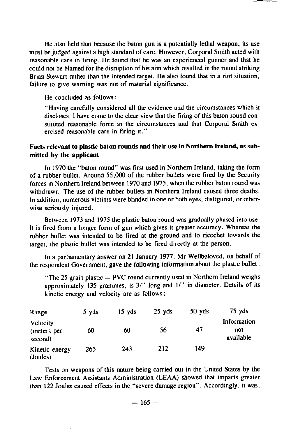He also held that because the baton gun is a potentially lethal weapon, its use must be judged against a high standard of care . However, Corporal Smith acted with reasonable care in firing. He found that he was an experienced gunner and that he could not be blamed for the disruption of his aim which resulted in the round striking Brian Stewart rather than the intended target. He also found that in a riot situation, failure to give warning was not of material significance.

**He concluded** as follows :

"Having carefully considered all the evidence and the circumstances which it discloses, **I** have come to the clear view that the firing of this baton round constituted reasonable force in the circumstances and that Corporal Smith exercised reasonable care in firing it . "

#### Facts relevant **to plastic baton** rounds and their use in Northern **Ireland, as sub**mitted by the applicant

In 1970 the "baton round" was first used in Northern Ireland, taking the form of a rubber bullet. Around 55,000 of the rubber bullets were fired by the Security forces in Northem Ireland between 1970 and 1975, when the mbber baton round was withdrawn. The use of the rubber bullets in Northern Ireland caused three deaths. In addition, numerous victims were blinded in one or both eyes, disfigured, or otherwise seriously injured.

Between 1973 and 1975 the plastic baton round was gradually phased into use . It is fired from a longer form of gun which gives it greater accuracy . Whereas the rubber bullet was intended to be fired at the ground and to ricochet towards the target, the plastic bullet was intended to be fired directly at the person .

In a parliamentary answer on 21 January 1977, Mr Wellbeloved, on behalf of the respondent Govemment, gave the following information about the plastic bullet :

"The 25 grain plastic  $-$  PVC round currently used in Northern Ireland weighs approximately 135 grammes, is 3/" long and 1/" in diameter. Details of its kinetic energy and velocity are as follows :

| Range                              | 5 yds | 15 vds | 25 yds | 50 <sub>Y</sub> ds | 75 yds                          |
|------------------------------------|-------|--------|--------|--------------------|---------------------------------|
| Velocity<br>(meters per<br>second) | 60    | 60     | 56     | 47                 | Information<br>not<br>available |
| Kinetic energy<br>(Joules)         | 265   | 243    | 212    | 149                |                                 |

Tests **on weapons** of this **nature being carried out** in the United **States by the Law Enforcement Assistants Administration** (LEAA) showed **that impacts greater than 122 Joules caused effects in the "severe damage region" .** Accordingly, it was ,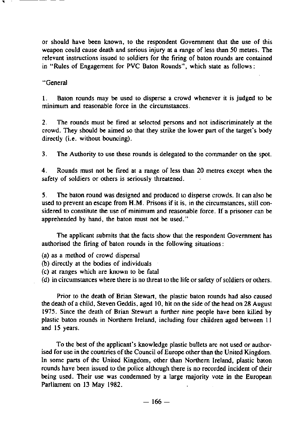**or should have been known, to the respondent** Government **that the use of this** weapon could cause death and serious injury at a range of less than 50 metres. The relevant instructions issued to soldiers for the firing of baton rounds are contained **in "Rules of Engagement** for PVC **Baton Rounds", which state as follows :**

#### "General

1. Baton rounds may be used to disperse a crowd whenever it is judged to be minimum and reasonable force in the circumstances .

2. The rounds must be fired at selected persons and not indiscriminately at the crowd. They should be aimed so that they strike the lower part of the target's body directly (i.e. without bouncing).

3. The Authority to use these rounds is delegated to the commander on the spot .

4. Rounds must not be fired at a range of less than 20 metres except when the safety of soldiers or others is seriously threatened.

5. The baton round was designed and produced to disperse crowds. It can also be used to prevent an escape from H.M. Prisons if it is, in the circumstances, still considered to constitute the use of minimum and reasonable force . If a prisoner can be apprehended by hand, the baton must not be used."

The applicant submits that the facts show that the respondent Government has authorised the firing of baton rounds in the following situations :

- (a) as a method of crowd dispersal
- (b) directly at the bodies of individual
- (c) at ranges which are known to be fatal
- (d) in circumstances where there is no threat to the life or safety of soldiers or others .

Prior to the death of Brian Stewart, the plastic baton rounds had also caused the death of a child, Steven Geddis, aged 10, hit on the side of the head on 28 August 1975. Since the death of Brian Stewart a further nine people have been killed by plastic baton rounds in Northem Ireland, including four children aged between I 1 and 15 years.

To the best of the applicant's knowledge plastic bullets are not used or authorised for use in the countries of the Council of Europe other than the United Kingdom . In some parts of the United Kingdom, other than Northern Ireland, plastic baton rounds have been issued to the police although there is no recorded incident of their being used. Their use was condemned by a large majority vote in the European Parliament on 13 May 1982.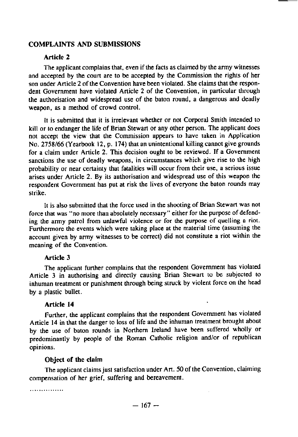# COMPLAINTS **AND SUBMISSIONS**

#### Article 2

The applicant complains that, even if the facts as claimed by the army witnesses and accepted by the court are to be accepted by the Commission the rights of her son under Article 2 of the Convention have been violated . She claims that the respondent Government have violated Article 2 of the Convention, in particular through the authorisation and widespread use of the baton round, a dangerous and deadly weapon, as a method of crowd control.

1t is submitted that it is irrelevant whether or not Corporal Smith intended to kill or to endanger the life of Brian Stewart or any other person . The applicant does not accept the view that the Commission appears to have taken in Application No. 2758/66 (Yearbook 12, p. 174) that an unintentional killing cannot give grounds for a claim under Article 2. This decision ought to be reviewed. If a Government sanctions the use of deadly weapons, in circumstances which give rise to the high probability or near certainty that fatalities will occur from their use, a serious issue **arises** under Article 2 . By its authorisation and widespread use of this weapon the respondent Govemment **has put at** risk the lives of everyone the baton rounds may strike.

It is also submitted that the force used in the shooting of Brian Stewart was not force that was "no more than absolutely necessary" either for the purpose of defending the army patrol from unlawful violence or for the purpose of quelling a riot . Furthermore the events which were taking place at the material time (assuming the account given by army witnesses to be correct) did not constitute a riot within the meaning of the Convention.

#### Article 3

The applicant funher complains that the respondent Government has violated Article 3 in authorising and directly causing Brian Stewart to be subjected to inhuman treatment or punishment through being struck by violent force on the head by a plastic bullet.

# Article 14 '

Further, the applicant complains that the respondent Govemment has violated Article 14 in that the danger to loss of life and the inhuman treatment brought about by the use of baton rounds in Northern Ireland have been suffered wholly or predominantly by people of the Roman Catholic religion and/or of republican opinions.

#### Object of the claim

The applicant claims just satisfaction under Art. 50 of the Convention, claiming compensation of her grief, suffering and bereavement.

. . . . . . . . . . . . . . .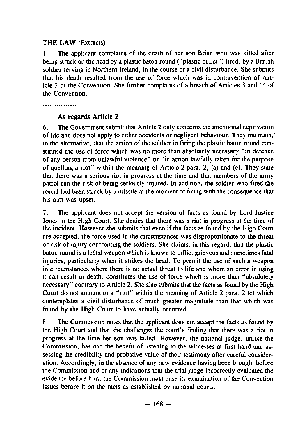# THE LAW (Extracts)

1. The applicant complains of the death of her son Brian who was killed after being struck on the head by a plastic baton round ("plastic bullet") fired, by a British soldier serving in Northem Ireland, in the course of a civil disturbance . She submits that his death resulted from the use of force which was in contravention of Article 2 of the Convention. She further complains of a breach of Articles 3 and 14 of the Convention.

. . . . . . . . . . . . . . .

#### **As regards** Article 2

6. The Government submit that Article 2 only concerns the intentional deprivation of life and does not apply to either accidents or negligent behaviour . They maintain, in the alternative, that the action of the soldier in firing the plastic baton round constituted the use of force which was no more than absolutely necessary "in defence of any person from unlawful violence" or "in action lawfully taken for the purpose of quelling a riot" within the meaning of Article 2 para. 2, (a) and (c). They state that there was a serious riot in progress at the time and that members of the army patrol ran the risk of being seriously injured. In addition, the soldier who fired the round had been struck by a missile at the moment of firing with the consequence that his aim was upset.

7. The applicant does not accept the version of facts as found by Lord Justice Jones in the High Court. She denies that there was a riot in progress at the time of the incident. However she submits that even if the facts as found by the High Court are accepted, the force used in the circumstances was disproportionate to the threat or risk of injury confronting the soldiers . She claims, in this regard, that the plastic baton round is a lethal weapon which is known to inflict grievous and sometimes fatal injuries, particularly when it strikes the head. To permit the use of such a weapon in circumstances where there is no actual threat to life and where an error in using it can result in death, constitutes the use of force which is more than "absolutely necessary" contrary to Article 2. She also submits that the facts as found by the High Court do not amount to a "riot" within the meaning of Anicle 2 para . 2 (c) which contemplates a civil disturbance of much greater magnitude than that which was found by the High Court to have actually occurred.

8. The Commission notes that the applicant does not accept the facts as found by the High Court and that she challenges the court's finding that there was a riot in progress at the time her son was killed. However, the national judge, unlike the Commission, has had the benefit of listening to the witnesses at first hand and assessing the credibility and probative value of their testimony after careful consideration. Accordingly, in the absence of any new evidence having been brought before the Commission and of any indications that the trial judge incorrectly evaluated the evidence before him, the Commission must base its examination of the Convention issues before it on the facts as established by national courts .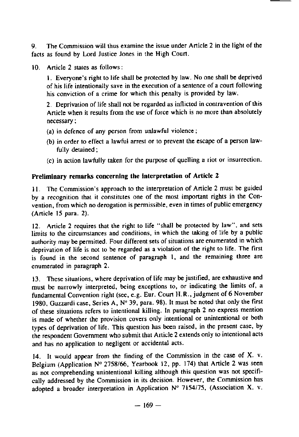9 . The Commission **will thus examine the issue under** Article 2 in the light of the facts as found by Lord Justice **Jones** in the High Court .

10. Article 2 states as follows:

**<sup>I</sup> . Eve**ry**one's** ri**ght to life shall** be **protected by law . No one shall be deprived of his life intentionally save in the execution of a sentence of a court following his conviction of a crime for which this penalty is provided by law .**

**2 . Deprivation** of life **shall not be regarded as** inflicted **in contravention of this** Article **when it results from the use of force which is no more than absolutely** necessary ;

- (a) in defence of any person from unlawful violence ;
- (b) in order to effect a lawful arrest or to prevent the escape of a person lawfully detained ;
- (c) in action lawfully taken for the purpose of quelling a riot or insurrection .

#### Preliminary **remarks concerning the Interpretation** of Article 2

**<sup>11</sup> .** The Commission's approach to the interpretation of Article 2 must be guided by a recognition that it constitutes one of the most important rights in the Convention, from which no derogation is permissible, even in times of public emergency (Anicle 15 para. 2) .

12. Article 2 requires that the right to life "shall be protected by law", and sets limits to the circumstances and conditions, in which the taking of life by a public authority may be permitted. Four different sets of situations are enumerated in which deprivation of life is not to be regarded as a violation of the right to life. The first is found in the second sentence of paragraph I, and the remaining three are enumerated in paragraph 2.

13. These situations, where deprivation of life may be justified, are exhaustive and must be narrowly interpreted, being exceptions to, or indicating the limits of, a fundamental Convention right (see, e .g. Eur. Court H .R., judgment of 6 November 1980, Guzzardi case, Series A, N° 39, para. 98). It must be noted that only the first of these situations refers to intentional killing. In paragraph 2 no express mention is made of whether the provision covers only intentional or unintentional or both types of deprivation of life. This question has been raised, in the present case, by the respondent Government who submit that Article 2 extends only to intentional acts and has no application to negligent or accidental acts.

14. It would appear from the finding of the Commission in the case of  $X$ . v. Belgium (Application  $N^{\circ}$  2758/66, Yearbook 12, pp. 174) that Article 2 was seen as not comprehending unintentional killing although this question was not specifically addressed by the Commission in its decision . However, the Commission has adopted a broader interpretation in Application  $N^{\circ}$  7154/75, (Association X. v.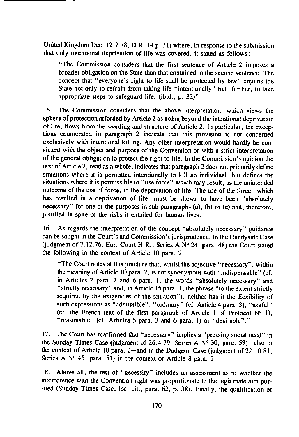United Kingdom Dec.  $12.7.78$ , D.R. 14 p. 31) where, in response to the submission that only intentional deprivation of life was covered, it stated as follows:

"The Commission considers that the first sentence of Article 2 imposes a broader obligation on the State than that contained in the second sentence . The concept that "everyone's right to life shall be protected by law" enjoins the State not only to refrain from taking life "intentionally" but, further, to take appropriate steps to safeguard life. (ibid., p. 32)"

15. The Commission considers that the above interpretation, which views the sphere of protection afforded by Article 2 as going beyond the intentional deprivation of life. flows from the wording and structure of Article 2. In particular, the exceptions enumerated in paragraph 2 indicate that this provision is not concerned exclusively with intentional killing. Any other interpretation would hardly be consistent with the object and purpose of the Convention or with a strict interpretation of the general obligation to protect the right to life . In the Commission's opinion the text of Article 2, read as a whole, indicates that paragraph 2 does not primarily define situations where it is permitted intentionally to kill an individual, but defines the situations where it is permissible to "use force" which may result, as the unintended outcome of the use of force, in the deprivation of life. The use of the force-which has resulted in a deprivation of life-must be shown to have been "absolutely necessary" for one of the purposes in sub-paragraphs (a), (b) or (c) and, therefore, justified in spite of the risks it entailed for human lives.

16 . As regards the interpretation of the concept "absolutely necessary" guidance can be sought in the Court's and Commission's jurisprudence. In the Handyside Case (judgment of 7 .12 .76, Eur. Court H.R., Series A N° 24, para. 48) the Court stated the following in the context of Article 10 para. 2:

"The Court notes at this juncture that, whilst the adjective "necessary", within the meaning of Article 10 para. 2, is not synonymous with "indispensable" (cf. in Articles 2 para. 2 and 6 para. 1, the words "absolutely necessary" and "strictly necessary" and, in Article 15 para. l, the phrase "to the extent strictly required by the exigencies of the situation"), neither has it the flexibility of such expressions as "admissible", "ordinary" (cf. Article 4 para. 3), "useful" (cf. the French text of the first paragraph of Article 1 of Protocol  $N^o$  1), "reasonable" (cf. Articles 5 para. 3 and 6 para. 1) or "desirable"."

17 . The Court has reaffirmed that "necessary" implies a "pressing social need" in the Sunday Times Case (judgment of 26.4.79, Series A  $N^{\circ}$  30, para. 59)—also in the context of Article 10 para. 2-and in the Dudgeon Case (judgment of 22.10.81, Series A  $N^{\circ}$  45, para. 51) in the context of Article 8 para. 2.

18. Above all, the test of "necessity" includes an assessment as to whether the interference with the Convention right was proportionate to the legitimate aim pursued (Sunday Times Case, loc. cit., para.  $62$ , p.  $38$ ). Finally, the qualification of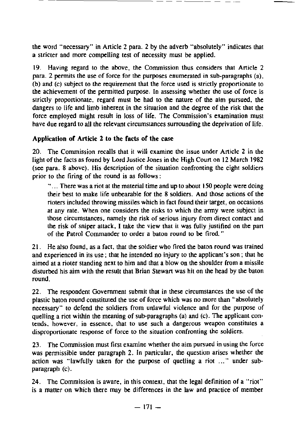the word "necessary" in Article 2 para. 2 by the adverb "absolutely" indicates that a stricter and more compelling test of necessity must be applied .

<sup>19</sup> . Having regard to the above, the Commission thus considers ihat Article 2 para . 2 permits the use of force for the purposes enumerated in sub-paragraphs (a), (b) and (c) subject to the requirement that the force used is strictly proportionate to the achievement of the permitted purpose . In assessing whether the use of force is strictly proponionate, regard must be had to the nature of the aim pursued, the dangers to life and limb inherent in the situation and the degree of the risk that the force employed might result in loss of life. The Commission's examination must have due regard to all the relevant circumstances surrounding the deprivation of life.

# Application of Article 2 to the facts of the case

20 . The Commission recalls that it will examine the issue under Article 2 in the light of the facts as found by Lord Justice Jones in the High Court on 12 March 1982 (see para . 8 above). His description of the situation confronting the eight soldiers prior to the Firing of the round is as follows :

" $\ldots$  There was a riot at the material time and up to about 150 people were doing their best to make life unbearable for the 8 soldiers . And those actions of the rioters included throwing missiles which in fact found their target, on occasions at any rate. When one considers the risks to which the army were subject in those circumstances, namely the risk of serious injury from direct contact and the risk of sniper attack, I take the view that it was fully justified on the part of the Patrol Commander to order a baton round to be fired . "

21 . He also found, as a fact, that the soldier who fired the baton round was trained and experienced in its use ; that he intended no injury to the applicant's son ; that he aimed at a rioter standing next to him and that a blow on the shoulder from a missile disturbed his aim with the result that Brian Stewart was hit on the head by the baton round.

22. The respondent Government submit that in these circumstances the use of the plastic baton round constituted the use of force which was no more than "absolutely necessary" to defend the soldiers from unlawful violence and for the purpose of quelling a riot within the meaning of sub-paragraphs (a) and (c) . The appticant contends, however, in essence, that to use such a dangerous weapon constitutes a disproportionate response of force to the situation confronting the soldiers.

23. The Commission must first examine whether the aim pursued in using the force was permissible under paragraph 2. In particular, the question arises whether the action was "lawfully taken for the purpose of quelling a riot ..." under subparagraph (c).

24 . The Commission **is aware, in** this context, **that the legal** definition of a "riot" **is a ma**tt**er** on which there may be differences **in the law and** practice of member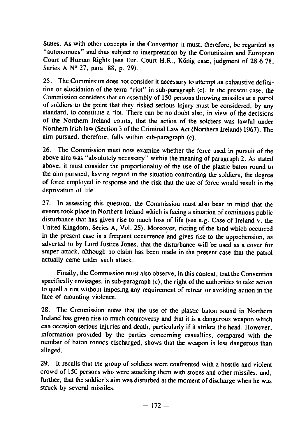States. As with other concepts in the Convention it must, therefore, be regarded as "autonomous" and thus subject to interpretation by the Commission and European Court of Human Rights (see Eur. Court H.R., Künig case, judgment of 28.6.78, Series A Nº 27, para. 88, p. 29).

25 . The Commission does not consider it necessary to attempt an exhaustive definition or elucidation of the term "riot" in sub-paragraph (c) . In the present case, the Commission considers that an assembly of 150 persons throwing missiles at a patrol of soldiers to the point that they risked serious injury must be considered, by any standard, to constitute a riot. There can be no doubt also, in view of the decisions of the Northern Ireland courts, that the action of the soldiers was lawful under Northern Irish law (Section 3 of the Criminal Law Act (Northern Ireland) 1967) . The aim pursued, therefore, falls within sub-paragraph (c) .

26. The Commission must now examine whether the force used in pursuit of the above aim was "absolutely necessary" within the meaning of paragraph 2 . As stated above, it must consider the proportionality of the use of the plastic baton round to the aim pursued, having regard to the situation confronting the soldiers, the degree of force employed in response and the risk that the use of force would result in the deprivation of life.

27. In assessing this question, the Commission must also bear in mind that the events took place in Northem Ireland which is facing a situation of continuous public disturbance that has given rise to much loss of life (see e.g. Case of Ireland v. the United Kingdom, Series A, Vol. 25). Moreover, rioting of the kind which occurred in the present case is a frequent occurrence and gives rise to the apprehension, as adverted to by Lord Justice Jones, that the disturbance will **be** used as a cover for sniper attack, although no claim has been made in the present case that the patrol actually came under such attack .

Finally, the Commission must also observe, in this context, that the Convention specifically envisages, in sub-paragraph (c), the right of the authorities to take action to quell a riot without imposing any requirement of retreat or avoiding action in the face of mounting violence .

28. The Commission notes that the use of the plastic baton round in Northern Ireland has given rise to much controversy and that it is a dangerous weapon which can occasion serious injuries and death, particularly if it strikes the head. However, information provided by the parties conceming casualties, compared with the number of baton rounds discharged, shows that the weapon is less dangerous than alleged .

29. It recalls that the group of soldiers were confronted with a hostile and violent crowd of 150 persons who were attacking them with stones and other missiles, and, further, that the soldier's aim was disturbed at the moment of discharge when he was struck by several missiles.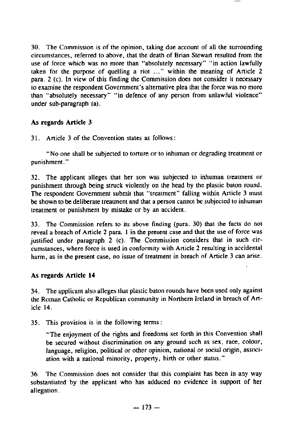30. The Commission is of the opinion, taking due account of all the surrounding circumstances, referred to above, that the death of Brian Stewart resulted from the use of force which was no more than "absolutely necessary" "in action lawfully taken for the purpose of quelling a riot ..." within the meaning of Article 2 para . 2 (c). In view of this finding the Commission does not consider it necessary to examine the respondent Govemment's altemative plea that the force was no more than "absolutely necessary" "in defence of any person from unlawful violence" under sub-paragraph (a) .

# **As regards** Article <sup>3</sup>

<sup>31</sup> . Article 3 of the Convention **states** as follow <sup>s</sup>

"No one shall be subjected to torture or to inhuman or degrading treatment or punishment. "

32 . The applicant alleges that her son was subjected to inhuman treatment or punishment through being struck violently on the head by the plastic baton round . The respondent Government submit that "treatment" falling within Article 3 must be shown to be deliberate treatment and that a person cannot be subjected to inhuman treatment or punishment by mistake or by an accident .

33 . The Commission refers to its above finding (para . 30) that the facts do not reveal a breach of Article 2 pare . **I** in the present case and that the use of force was justified under paragraph 2 (c). The Commission considers that in such circumstances, where force is used in conformity with Article 2 resulting in accidental harm, as in the present case, no issue of treatment in breach of Article 3 can arise .

# As regards Article 14

34 . The applicant also alleges that plastic baton rounds have been used only against the Roman Catholic or Republican community in Northern Ireland in breach of Article 14 .

<sup>35</sup> . This **provision is in the following terrns :**

"The enjoyment of the rights and freedoms set forth in this Convention shall be secured without discrimination on any ground such as sex, race, colour, language, religion, political or other opinion, national or social origin, association with a national minority, property, birth or other status. "

36. The Commission does not consider that this complaint has been in any way **substantiated** by the applicant who has adduced no evidence in support of her **allegation .**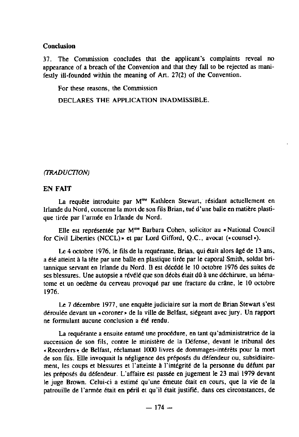#### **Conclusion**

37. The Commission concludes **that the applicant's complaints** reveal no appearance of a breach of the Convention and that they fall to be rejected **as mani**festly ill-founded **within the meaning** of Art. 27(2) of the Convention .

For these reasons, the Commission

DECLARES THE APPLICATION INADMISSIBLE.

#### (TRADUCTION)

#### EN FAIT

La requête introduite par M<sup>me</sup> Kathleen Stewart, résidant actuellement en Irlande du Nord, concerne la mort de son fils Brian, tué d'une balle en matière plastique tirée par l'armée en Irlande du Nord.

Elle est représentée par M<sup>me</sup> Barbara Cohen, solicitor au «National Council for Civil Liberties (NCCL) » et par Lord Gifford, Q.C., avocat («counsel»).

Le 4 octobre 1976, le fils de la requérante, Brian, qui était alors **âgé** de 13 ans, a été atteint à la tête par une balle en plastique tirée par le caporal Smith, soldat britannique servant en Irlande du Nord. Il est décédé le 10 octobre 1976 des suites de ses blessures . Une autopsie a révélé que son décès était **dû** à une déchirure, un hématome et un oedéme du cerveau provoqué par une fracture du crâne, le 10 octobre 1976 .

Le 7 décembre 1977, une enquête judiciaire sur la mort de Brian Stewart s'est déroulée devant un «coroner» de la ville de Belfast, siégeant avec jury . Un rapport ne formulant aucune conclusion a été rendu.

La requérante a ensuite entamé une procédure, en tant qu'administratrice de la succession de son fils, contre le ministère de la Défense, devant le tribunal des +Recorders **-** de Belfast, réclamant 1000 livres de dommages-intérêts pour la mort de son fils. Elle invoquait la négligence des préposés du défendeur ou, subsidiairement, les coups et blessures et l'atteinte à l'intégrité de la personne du défunt par les préposés du défendeur. L'affaire est passée en jugement le 23 mai 1979 devant le juge Brown. Celui-ci a estimé qu'une émeute était en cours, que la vie de la patrouille de l'armée était en péril et qu'il était justifié, dans ces circonstances, de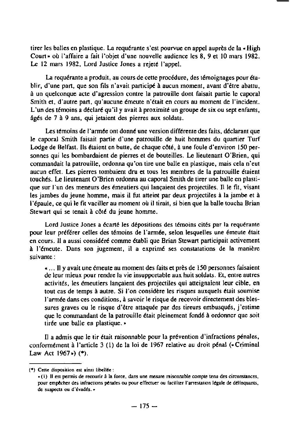tirer les balles en plastique . La requérante s'est pourvue en appel auprès de la « High Coun • où l'affaire a fait l'objet d'une nouvelle audience les 8, 9 et 10 mars 1982 . Le 12 mars 1982, Lord Justice Jones a rejeté l'appel.

La requérante a produit, au cours de cette procédure, des témoignages pour établir, d'une part, que son fils n'avait panicipé à aucun moment, avant d'être abattu, à un quelconque acte d'agression contre la patrouille dont faisait partie le caporal Smith et, d'autre part, qu'aucune émeute n'était en cours au moment de l'incident. L'un des témoins a déclaré qu'il y avait à proximité un groupe de six ou sept enfants, âgés de 7 à 9 ans, qui jetaient des pierres aux soldats .

Les témoins de l'armée ont donné une version différente des faits, déclarant que le caporal Smith faisait partie d'une patrouille de huit hommes du quartier Turf Lodge de Belfast. Ils étaient en butte, de chaque côté, à une foule d'environ 150 personnes qui les bombardaient de pierres et de bouteilles . Le lieutenant O'Brien, qui commandait la patrouille, ordonna qu'on tire une balle en plastique, mais cela n'eut aucun effet . Les pienes tombaient dru et tous les membres de la patrouille **étaient** touchés . Le lieutenant O'Brien ordonna au caporal Smith de tirer une balle en plastique sur l'un des meneurs des émeutiers qui lançaient des projectiles . II le fit, visant les jambes du jeune homme, mais il fut atteint par deux projectiles à la jambe et à l'épaule, ce qui le ftt vaciller au moment où il tirait, si bien que la balle toucha Brian Stewart qui se tenait à côté du jeune homme.

Lord Justice Jones a écarté les dépositions des témoins cités par la requérante pour leur préférer celles des témoins de l'armée, selon lesquelles une émeute était en cours . Il a aussi considéré comme établi que Brian Stewart participait activement à l'émeute. Dans son jugement, il a exprimé ses constatations de la manière suivante :

. . . Il y avait une émeute au moment des faits et près de 150 personnes faisaient de leur mieux pour rendre la vie insupportable aux huit soldats . Et, entre autres activités, les émeutiers lançaient des projectiles qui atteignaient leur cible, en tout cas de temps à autre. Si l'on considère les risques auxquels était soumise l'armée dans ces conditions, à savoir le risque de recevoir directement des blessures graves ou le risque d'être attaquée par des tireurs embusqués, j'estime que le commandant de la patrouille était pleinement fondé à ordonner que soit tirée une balle en plastique .-

Il a admis que le tir était raisonnable pour la prévention d'infractions pénales, conformément à l'article 3 (1) de la loi de 1967 relative au droit pénal (« Criminal Law Act  $1967$ ») (\*).

<sup>(•)</sup> Ce **tt** e disposition est ainsi libellée :

<sup>.(1)</sup> II est permis de recourir à la force, dans une nrsure raisonnable comple tenu des circonstunces, pour empécher des infractions pénales ou pour effectuer ou faciliter l'arrestation légale de délinquants, de suspects ou d'évadés .•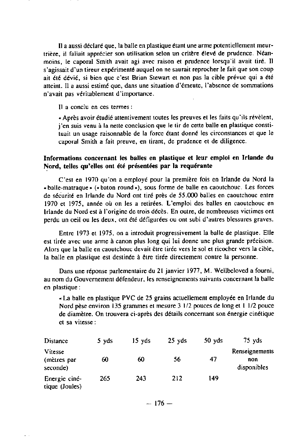**Il** a aussi déclaré que, la balle en plastique étant une arme potentiellement meurtrière, il fallait apprécier son utilisation selon un critàre élevé de prvdence . Néanmoins, le caporal Smith avait agi avec raison et prudence lorsqu'il avait tiré . Il s'agissait d'un tireur expérimenté auquel on ne saurait reprocher le fait que son coup ait été dévié, si bien que c'est Brian Stewart et non pas la cible prévue qui a été atteint. Il a aussi estimé que, dans une situation d'émeute, l'absence de sommations n'avait pas véritablement d'importance .

**Il** a conclu en ces termes :

. Après avoir étudié attentivement toutes les preuves el les faits qu'ils révèlent, j'en suis venu à la nette conclusion que le tir de cette balle en plastique constituait un usage raisonnable de la force étant donné les circonstances et que le caporal Smith a fait preuve, en tirant, de prudence et de diligence.

### **Informations concernant les balles en plastique et leur emploi en Irlande du** Nord, telles qu'elles ont été présentées par la requérante

C'est en 1970 qu'on a employé pour la premiére fois en Irlande du Nord la . balle-matraque - (. baton round •), sous forme de balle en caoutchouc . Les forces de sécurité en Irlande du Nord ont tiré près de 55 .000 balles en caoutchouc entre 1970 et 1975, **année** où on les a retirées . L'emploi des balles en caoutchouc en Irlande du Nord est à l'origine de trois décès . En outre, de nombreuses victimes ont perdu un oeil ou les deux, ont été défigurées ou ont subi d'autres blessures graves .

Entre 1973 **et 1975, on a introduit progressivement la balle de plastique . Elle est tirée avec une arme à canon plus long qui lui donne une plus grande précision .** Alors **que la balle en caoutchouc devait** être tirée **vers le sol et ricocher** vers **la cible, la balle en plastique est destinée à** être **tirée** directement **contre la personne .**

**Dans une réponse parlementaire du 21 janvier** 1977, **M. Wellbeloved a fourni, au nom du Gouvernement défendeur, les renseignements suivants concernant la balle en plastique :**

**- La balle en plastique PVC de 25 grains actuellement employée en Irlande du Nord pése environ 135 grammes et mesure 3 1/2 pouces de long et 1 1/2 pouce de diamètre . On trouvera ci-après des détails concernant son énergie cinétique et sa vitesse :**

| Distance                           | 5 yds | 15 yds | $25 \text{ yds}$ | 50 <sub>yd</sub> | $75$ vds                             |
|------------------------------------|-------|--------|------------------|------------------|--------------------------------------|
| Vitesse<br>(mètres par<br>seconde) | 60    | 60     | 56               | 47               | Renseignements<br>non<br>disponibles |
| Energie ciné-<br>tique (Joules)    | 265   | 243    | 212              | 149              |                                      |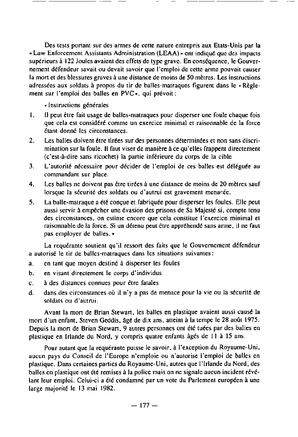Des tests portant sur des armes de cette nature entrepris aux Etats-Unis par la • Law Enforcement Assistants Administration (LEAA)- ont indiqué que des impacts supérieurs à 122 Joules avaient des effets de type grave . En conséquence, le Gouvernement défendeur savait ou devait savoir que l'emploi de cette arme pouvait causer la mort et des blessures graves à une distance de moins de 50 mètres . Les instructions adressées aux soldats à propos du tir de balles-matraques figurent dans le « Règlement sur l'emploi des balles en PVC• . qui prévoit :

**-** Instructions générales

- **<sup>1</sup> .** Il **peut** être **fait usage de balles-matraques pour disperser une foule chaque fois que cela est considéré comme un exercice minimal et raisonnable de la force étant donné les circonstances .**
- <sup>2</sup> . Les **balles doivent étre tirées sur des personnes déterminées et non sans discrimination sur la foule .** Il **faut viser de manière à ce qu'elles frappent directement** (c'est-à-dire sans ricochet) la partie inférieure du corps de la cible
- **3 . L'autorité nécessaire pour décider de l'emploi de ces balles est déléguée au commandant sur place .**
- 4 . Les balles **ne doivent pas ètre tirées à une distance de moins de 20** mètres **sauf lorsque la sécurité des soldats ou d'autrui est gravement menacée .**
- **5 . La balle-matraque a été con**ç**ue et fabriquée pour disperser les foules . Elle peut** aussi servir à empêcher une évasion des prisons de Sa Majesté si, compte tenu des circonstances, on estime encore que cela constitue l'exercice minimal et **raisonnable de la force . Si un détenu peut** être **appréhendé sans arme, il ne faut** pas employer **de balles .** »

La requérante soutient qu'il ressort des faits que le Gouvernement défendeur **a autorisé le tir de balles-niatraques dans les situations suivantes :**

- **<sup>a</sup> . en tant que** moyen destiné **à disperser les foules**
- **b . en visant directement** le corps d'individus
- <sup>c</sup> . à des **distances connues** pour **ètre fatales**
- **d . dans des circonstances où il n'y a pas de menace pour la vie ou la sécurité de soldats ou d'autmi .**

Avant la mort de Brian Stewart, les balles en plastique avaient aussi causé la mort d'un enfant, Steven Geddis, âgé de dix ans, atteint à la tempe le 28 août 1975. Depuis la mort de Brian Stewart, 9 autres personnes ont été tuées par des balles en plastique en Irlande du Nord, y compris quatre enfants àgés de **<sup>11</sup>** à 15 ans .

Pour autant que la requérante puisse le savoir, à l'exception du Royaume-Uni, aucun pays du Conseil de l'Europe n'emploie ou n'autorise l'emploi de balles en plastique . Dans cenaines parlies du Royaume-Uni, autres que l'Irlande du Nord, des balles en plastique ont été remises à la police mais on ne signale aucun incident révélant leur emploi. Celui-ci a été condamné par un vote du Parlement européen à une large majorité le 13 mai 1982.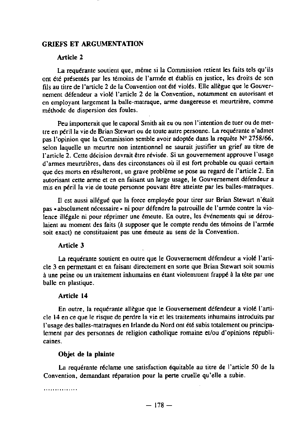## **GRIEFS** ET ARGUMENTATION

### Article 2

La requérante soutient que, méme si la Commission **retient les** faits tels qu'ils ont été présentés par les témoins de l'armée et établis en justice, les droits de son fils au titre de l'article 2 de la Convention ont été violés . Elle allègue que le Gouvernement défendeur a violé l'article 2 de la Convention, notamment en autorisant et en employant largement la balle-matraque, arme dangereuse et meurtrière, comme méthode de dispersion des foules.

Peu importerait que le caporal Smith ait eu ou non l'intention de tuer ou de mettre en péril la vie de Brian Stewart ou de toute autre personne . La requérante n'admet pas l'opinion que la Commission semble avoir adoptée dans la requète N° 2758/66, selon laquelle un meunre non intentionnel ne saurait justifier un grief au titre de l'article 2. Cette décision devrait être révisée . Si un gouvernement approuve l'usage d'annes meurtrières, dans des circonstances où il est fort probable ou quasi certain que des morts en résulteront, un grave problème se pose au regard de l'article 2 . En autorisant cette arme et en en faisant un large usage, le Gouvernement défendeur a mis en péril la vie de toute personne pouvant être atteinte par les balles-matraques.

Il est aussi allégué que la force employée pour tirer sur Brian Stewart n'était pas - absolument nécessaire - ni pour défendre la patrouille de l'armée contre la violence illégale ni pour réprimer une émeute. En outre, les événements qui se déroulaient au moment des faits (à supposer que le compte rendu des témoins de l'armée soit exact) ne constituaient pas une émeute au sens de la Convention.

#### Article 3

La requérante soutient en outre que le Gouvernement défendeur a violé l'article 3 en permettant et en faisant directement en sorte que Brian Stewart soit soumis à une peine ou un traitement inhumains en étant violemment frappé à la tête par une balle en plastique.

#### Article 14

En outre, la requérante allègue que le Gouvernement défendeur a violé l'article 14 en ce que le risque de perdre la vie et les traitements inhumains introduits par l'usage des balles-matraques en Irlande du Nord ont été subis totalement ou principalement par des personnes de religion catholique romaine et/ou d'opinions républicaines .

#### Objet de **la plainte**

La requérante réclame une satisfaction équitable au titre de l'article 50 de la Convention, demandant réparation pour la perte cruelle qu'elle a subie.

. . . . . . . . . . . . . . .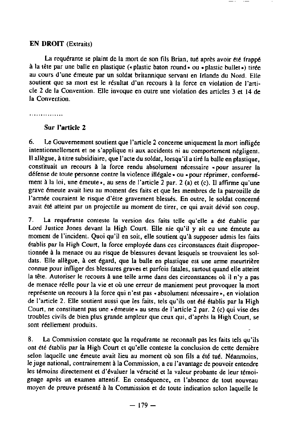#### EN DROIT (Extraits)

La requérante se plaint de la mort de son fils Brian, tué après avoir été frappé à la tête par une batle en plastique ( **«** plastic baton round» ou . plastic bullet •) tirée au cours d'une émeute par un soldat britannique servant en Irlande du Nord . Elle soutient que sa mort est le résultat d'un recours à la force en violation de l'article 2 de la Convention. Elle invoque en outre une violation des articles 3 et 14 de la Convention.

. . . . . . . . . . . . . . .

# Sur l'article 2

6 . Le Gouvemement soutient que l'article 2 conceme uniquement la mort infligée intentionnellement et ne s'applique ni aux accidents ni au comportement négligent . **Il** allégue, à titre subsidiaire, que l'acte du soldat, lorsqu'il a tiré la balle en plastique, constituait un recours à la force rendu absolument nécessaire «pour assurer la défense de toute personne contre la violence illégale • ou . pour réprimer, conformément à la loi, une émeute », au sens de l'article 2 par. 2 (a) et (c). Il affirme qu'une grave émeute avait lieu au moment des faits et que les membres de la patrouille de l'armée couraient le risque d'être gravement blessés . En outre, le soldat concerné avait été atteint par un projectile au moment de tirer, ce qui avait dévié son coup.

7 . La requérante conteste la version des faits telle qu'elle a été établie par Lord Justice Jones devant la High Court. Elle nie qu'il y ait eu une émeute au moment de l'incident. Quoi qu'il en soit, elle soutient qu'à supposer admis les faits établis par la High Court, la force employée dans ces circonstances était disproportionnée à la menace ou au risque de blessures devant lesquels se trouvaient les soldats . Elle allégue, **<sup>à</sup>** cet égard, que la balle en plastique est une arme meurtrière connue pour infliger des blessures graves et parfois fatales, surtout quand elle atteint la tête. Autoriser le recours à une telle arme dans des circonstances où il n'y a pas de menace réelle pour la vie et où une erreur de maniement peut provoquer la mort représente un recours à la force qui n'est pas « absolument nécessaire », en violation de l'article 2. Elle soutient aussi que les faits, tels qu'ils ont été établis par la High Court, ne constituent pas une « émeute » au sens de l'article 2 par. 2 (c) qui vise des troubles civils de bien plus grande ampleur que ceux qui, d'après la High Court, se sont réellement produits .

<sup>8</sup> . La Commission constate que la requérante **ne** reconnaît pas les faits tels qu'ils ont été établis par la High Court et qu'elle conteste la conclusion de cette dernière selon laquelle une émeute avait lieu au moment où son fils a été tué. Néanmoins, le juge national, contrairement à la Commission, a eu l'avantage de pouvoir entendre les témoins directement el d'évaluer la véracité et la valeur probante de leur témoignage aprés **un examen** attentif. En conséquence, en l'absence de tout nouveau moyen de preuve présenté à la Commission et de toute indication selon laquelle le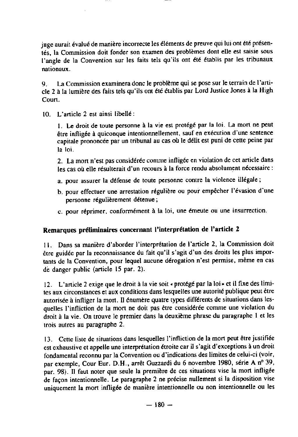juge aurait évalué de manière incorrecte les éléments de preuve qui lui ont été présentés, la Commission doit fonder son examen des problèmes dont elle est saisie sous l'angle de la Convention sur les faits tels qu'ils ont été établis par les tribunaux nationaux .

<sup>9</sup> . La Commission **examinera** donc le problème qui se pose sur le terrain de l'article 2 à la lumière des faits tels qu'ils ont été établis par Lord Justice Jones à la High Court.

10 . L'article 2 est ainsi libellé :

<sup>1</sup> . Le droit de toute personne à la vie est protégé par la loi . La mort ne peut être infligée à quiconque intentionnellement, sauf en exécution d'une sentence capitale prononcée par un tribunal au cas où le délit est puni de cette peine par la loi.

2. La mort n'est pas considérée comme infligée en violation de cet article dans les cas où elle résulterait d'un recours à la force rendu absolument nécessaire :

- a. pour assurer la défense de toute personne contre la violence illégale;
- b. pour effectuer une arrestation régulière ou pour empêcher l'évasion d'une personne régulièrement détenue ;
- c. pour réprimer, conformément à la loi, une émeute ou une insurrection.

# Remarques préliminaires concernant l'interprétation de l'article 2

**<sup>11</sup> .** Dans sa manière d'aborder l'interprétation de l'article 2, la Commission doit être guidée par la reconnaissance du fait qu'il s'agit d'un des droits les plus importants de la Convention, pour lequel aucune dérogation n'est permise, mème en cas de danger public (article 15 par. 2).

<sup>12</sup> . L'article 2 exige que le droit à la vie soit «protégé parla loi» et il fixe des lintites aux circonstances et aux conditions dans lesquelles une autorité publique peut être autorisée à infliger la mort. Il énumère quatre types différents de situations dans lesquelles l'infliction de la mort ne doit pas être considérée comme une violation du droit à la vie . On trouve le premier dans la deuxième phrase du paragraphe 1 et les trois autres au paragraphe 2 .

13. Cette liste de situations dans lesquelles l'infliction de la mort peut être justifiée est exhaustive et appelle une interprétation étroite car il s'agit d'exceptions à un droit fondamental reconnu par la Convention ou d'indications des limites de celui-ci (voir, par exemple, Cour Eur. D.H ., arrèt Guzzardi du 6 novembre 1980, série A n° 39, par. 98). II faut noter que seule la première de ces situations vise la mort infligée de façon intentionnelle. Le paragraphe 2 ne précise nullement si la disposition vise uniquement la mort infligée de maniére intentionnelle ou non intentionnelle ou les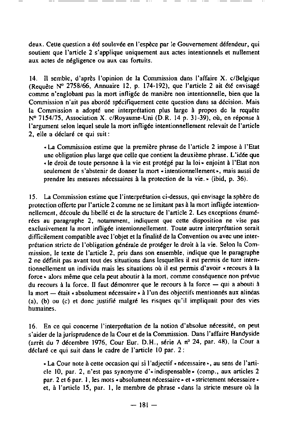deux . Cette question a été soulevée en l'espèce par le Gouvernement défendeur, qui soutient que l'article 2 s'applique uniquement aux actes intentionnels et nullement aux actes de négligence ou aux cas fortuits.

<sup>14</sup> . II semble, d'après l'opinion de la Commission dans l'affaire X . c/Belgique (Requète N° 2758/66, Annuaire 12, p . 174-192), que l'article 2 ait été envisagé comme n'englobant pas la mort infligée de manière non intentionnelle, bien que la Commission n'ait pas abordé spécifiquement cette question dans sa décision . Mais la Commission a adopté une interprétation plus large à propos de la requête  $N^{\circ}$  7154/75, Association X. c/Royaume-Uni (D.R. 14 p. 31-39), où, en réponse à l'argument selon lequel seule la mort infligée intentionnellement relevait de l'article 2, elle a déclaré ce qui suit :

**• La Commission estime que la première phrase de l'a** rt **icle 2 impose à l'Etat une obligation plus large que celle que contient la deuxième phrase . L'idée que • le droit de toute personne** à **la vie est protégé par la loi . enjoint à l'Etat non seulement de s'abstenir de donner la mo** rt **• intentionnellement ., mais aussi de prendre les mesures nécessaires à la protection de la vie .** - (**ibid, p. 36).**

<sup>15</sup> . La Corrunission **estime que l'interprétation ci-dessus, qui envisage la sphère de** protection offerte par l'article 2 comme ne se limitant pas à la mort infligée intentionnellement, découle du libellé et de la structure de l'article 2. Les exceptions énumé**rées au paragraphe 2, notamment, indiquent que cette disposition ne vise pas** exclusivement **la mo**rt infligée **intentionnellement . Toute autre interprétation serait dif**fi**cilement compatible avec l'objet et la finalité de la Convention ou avec une interprétation stricte de l'obligation générale de protéger le droit à la vie .** Selon la Commission, le texte de l'article 2, pris dans son ensemble, indique que le paragraphe **2 ne définit pas avant tout des situations dans lesquelles il est permis de tuer intentionnellement un individu mais les situations où il est permis d'avoir . recours à la force . alors** même **que cela peut aboutir à la mo**rt **, comme conséquence non prévue du recours à la force .** Il **faut démontrer que le recours à la force - qui a abouti à la mo**rt - é**tait • absolument nécessaire . à l'un des objectifs mentionnés aux alinéas (a), (b) ou** (c) et donc justifié **malgré les** ri**sques qu'il impliquait pour des vies humaines.**

**16 . En ce qui conceme l'interprétation de la notion d'absolue nécessité, on peut s'aider de la jurisprudence** de la Cour et **de la Commission . Dans l'affaire Handyside** (arr@t du 7 décembre 1976, **Cour Eur. D .H., série A n°** 24, par. 48), **la Cour a** déclaré **ce qui suit dans le cadre de l'a**rt**icle 10 par. 2 :**

• La Cour note à cette occasion qui si l'adjectif . nécessaire., au sens de l'article 10, par. 2, n'est pas synonyme d'• indispensable . (comp., aux articles 2 par. 2 et 6 par. I, les mots • absolument nécessaire» et • strictement nécessaire et, à l'article 15, par. 1, le membre de phrase «dans la stricte mesure où la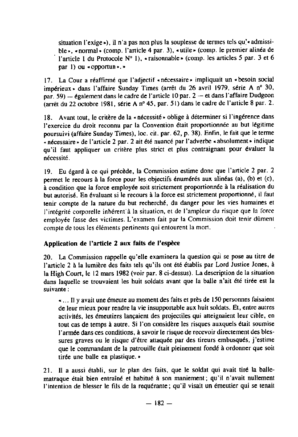situation l'exige»), il n'a pas non plus la souplesse de termes tels qu'«admissible», « normal » (comp. l'article 4 par. 3), « utile » (comp. le premier alinéa de l'article 1 du Protocole N° 1), « raisonnable » (comp. les articles 5 par . 3 et 6 par 1) ou «opportun».»

17. La Cour a réaffirmé que l'adjectif « nécessaire » impliquait un « besoin social impérieux . dans l'affaire Sunday Times (arrêt du 26 avril 1979, série A n° 30, par. 59) - également dans le cadre de l'article 10 par. 2 - et dans l'affaire Dudgeon (arrêt du 22 octobre 1981, série A n° 45, par . 51) dans le cadre de l'article 8 par . 2 .

18. Avant tout, le critère de la « nécessité » oblige à déterminer si l'ingérence dans l'exercice du droit reconnu par la Convention était proportionnée au but légitime poursuivi (affaire Sunday Times), loc . cit. par. 62, p. 38) . Enfin, le fait que le terme « nécessaire » de l'article 2 par. 2 ait été nuancé par l'adverbe « absolument » indique qu'il faut appliquer un critère plus strict et plus contraignant pour évaluer la nécessité .

<sup>19</sup> . Eu égard à ce qui précède, la Commission estime donc que l'article 2 par . 2 permet le recours à la force pour les objectifs énumérés aux alinéas (a), (b) et (c), à condition que la force employée soit strictement proportionnée à la réalisation du but autorisé . En évaluant si le recours à la force est strictement proportionné, il faut tenir compte de la nature du but recherché, du danger pour les vies humaines et l'intégrité corporelle inhérent à la situation, et de l'ampleur du risque que la force employée fasse des victimes. L'examen fait par la Commission doit tenir dûment compte de tous les éléments pertinents qui entourent la mort.

# **Application** de l'article **2 aux faits de** l'espèce

20. La Commission rappelle qu'elle examinera la question qui se pose au titre de l'article 2 à la lumière des faits tels qu'ils ont été établis par Lord Justice Jones, à la High Court, le 12 mars 1982 (voir par . 8 ci-dessus) . La description de la situation dans laquelle se trouvaient les huit soldats avant que la balle n'ait été tirée est la suivante :

. . . . Il y avait une émeute au moment des faits et près de 150 personnes faisaient de leur mieux pour rendre la vie insupportable aux huit soldats . Et, entre autres activités, les émeutiers lançaient des projectiles qui atteignaient leur cible, en tout cas de temps à autre. Si l'on considère les risques auxquels était soumise l'armée dans ces conditions, à savoir le risque de recevoir directement des blessures graves ou le risque d'être attaquée par des tireurs embusqués, j'estime que le commandant de la patrouille était pleinement fondé à ordonner que soit tirée une balle en plastique. »

21. Il a aussi établi, sur le plan des faits, que le soldat qui avait tiré la ballematraque était bien entrainé et habitué à son maniement ; qu'il n'avait nullement l'intention de blesser le fils de la requérante ; qu'il visait un émeutier qui se tenait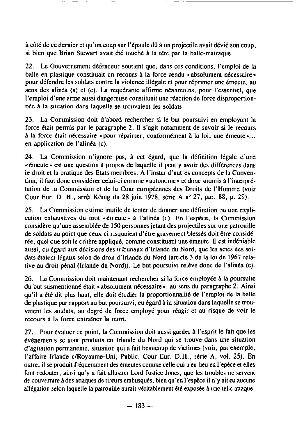à côté de ce dernier et qu'un coup sur l'épaule dû à un projectile avait dévié son coup, si bien que Brian Stewart avait été touché à la tête par la balle-matraque.

22. Le Gouvernement défendeur soutient que, dans ces conditions, l'emploi de la balle en plastique constituait un recours à la force rendu •absolument nécessaire» pour défendre les soldats contre la violence illégale et pour réprimer une émeute, au sens des alinéa (a) et (c). La requérante affirme néanmoins, pour l'essentiel, que l'emploi d'une arrne aussi dangereuse constituait une réaction de force disproportionnée à la situation dans laquelle se trouvaient les soldats .

23 . La Commission doit d'abord rechercher si le but poursuivi en employant la force était permis par le paragraphe 2 . II s'agit notamment de savoir si le recours à la force était nécessaire « pour réprimer, conformément à la loi, une émeute »... en application de l'alinéa (c).

24 . La Commission n'ignore pas, à cet égard, que la définition légale d'une •émeute . est une question à propos de laquelle il peut y avoir des différences dans le droit et la pratique des Etats membres . A l'instar d'autres concepts de la Convention, il faut donc considérer celui-ci comme • autonome **»** et donc soumis à l'interprétation de la Commission et de la Cour européennes des Droits de l'Homme (voir Cour Eur. D. H., arrêt König du 28 juin 1978, série A nº 27, par. 88, p. 29).

25 . La Commission estime inutile de tenter de donner une définition ou une explicalion exhaustives du mot •émeute• à l'alinéa (c) . En l'espèce, la Commission considère qu'une assemblée de 150 personnes jetant des projectiles sur une patrouille de soldats au point que ceux-ci risquaient d'être gravement blessés doit être considérée, quel que soit le critère appliqué, comme constituant une émeute . **Il** est indéniable aussi, eu égard aux décisions des tribunaux d'trlande du Nord, que les actes des soldats étaient légaux selon de droit d'Irlande du Nord (article 3 de la loi de 1967 relative au droit pénal (Irlande du Nord)) . Le but poursuivi relève donc de l'alinéa (c) .

26. La Commission doit maintenant rechercher si la force employée à la poursuite du but susmentionné était « absolument nécessaire », au sens du paragraphe 2. Ainsi qu'il a été dit plus haut, elle doit étudier la proportionnalité de l'emploi de la balle de plastique par rapport au but poursuivi, eu égard à la situation dans laquelle se trouvaient les soldats, au degré de force employé pour réagir et au risque de voir le recours à la force entraîner la mort.

27. Pour évaluer ce point, la Commission doit aussi garder à l'esprit le fait que les événements se sont produits en Irlande du Nord qui se trouve dans une situation d'agitation permanente, situation qui a fait beaucoup de victimes (voir, par exemple, l'affaire Irlande c/Royaume-Uni, Public. Cour Eur. D .H., série A, vol. 25) . En outre, il se produit fréquemment des émeutes comme celle qui a eu lieu en l'epèce et elles font redouter, ainsi qu'y a fait allusion Lord Justice Jones, que les troubles ne servent de couverture à des attaques de tireurs embusqués, bien qu'en l'espèce il n'y ait eu aucune allégation selon laquelle la patrouille aurait véritablement été exposée à une telle attaque.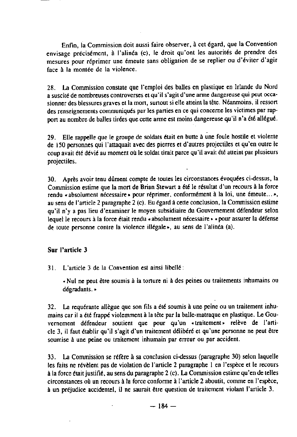Enfin, la Commission doit aussi faire observer, à cet égard, que la Convention envisage précisément, à l'alinéa (c), le droit qu'ont les autorités de prendre des mesures pour réprimer une émeute sans obligation de se replier ou d'éviter d'agir face à la montée de la violence.

28 . La Commission constate que l'emploi des balles en plastique en Irlande du Nord a suscité de nombreuses controverses et qu'il s'agit d'une arme dangereuse qui peut occasionner des blessures graves et la mon, surtout si elle atteint la tête . Néanmoins, il ressort des renseignements communiqués par les panies en ce qui conceme les victimes par reppon au nombre de balles tirées que cette anne est moins dangereuse qu'il n'a été **allégué .**

29 . Elle rappelle que le groupe de soldats était en butte à une foule hostile et violente de 150 personnes qui l'attaquait avec des pierres et d'autres projectiles et qu'en outre le coup avait été dévié au moment où le soldal tirait parce qu'il avait été atteint par plusieurs projectiles .

30 . Après avoir tenu dùment compte de toutes les circonstances évoquées ci-dessus, la Commission estime que la mort de Brian Stewart a été le résultat d'un recours à la force rendu « absolument nécessaire » pour réprimer, conformément à la loi, une émeute... », au sens de l'article 2 paragtaphe 2 (c) . Eu égard à cette conclusion, la Commission estime qu'il n'y a pas lieu d'examiner le moyen subsidiaire du Gouvernement défendeur selon lequel le recours à la force était rendu • absolument nécessaire • **-** pour assurer la défense de toute personne contre la violence illégale», au sens de l'alinéa (a).

#### Sur l'article 3

<sup>31</sup> . L'anicle 3 de **la Convention est ainsi libellé :**

• Nul ne peut étre soumis à la tonure ni à des peities ou traitements inhumains ou dégradants . •

32. La requérante allègue que son fils a été soumis à une peine ou un traitement inhumains car il a été frappé violemment à la téte par la balle-matraque en plastique . Le Gouvernement défendeur soutient que pour qu'un •traitement» relève de l'article 3, il faut établir qu'il s'agit d'un traitement délibéré et qu'une personne ne peut étre soumise à une peine ou traitement inhumain par erreur ou par accident.

33 . La Commission se référe à sa conclusion ci-dessus (paragraphe 30) selon laquelle les faits ne révèlent pas de violation de l'article 2 paragraphe I en l'espèce et le recours à la force était juslifié, au sens du paragraphe 2 **(c).** La Commission estime qu'en de telles circonstances où un recours à la force confonne à l'article 2 aboutit, comme en l'espèce, à un préjudice accidentel, il ne saumit être question de traitement violant l'article 3 .